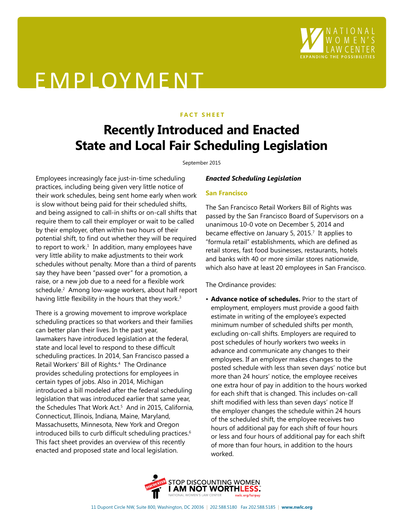

# EMPLOYMENT

## **FACT SHEET**

# **Recently Introduced and Enacted State and Local Fair Scheduling Legislation**

#### September 2015

Employees increasingly face just-in-time scheduling practices, including being given very little notice of their work schedules, being sent home early when work is slow without being paid for their scheduled shifts, and being assigned to call-in shifts or on-call shifts that require them to call their employer or wait to be called by their employer, often within two hours of their potential shift, to find out whether they will be required to report to work. $<sup>1</sup>$  In addition, many employees have</sup> very little ability to make adjustments to their work schedules without penalty. More than a third of parents say they have been "passed over" for a promotion, a raise, or a new job due to a need for a flexible work schedule.2 Among low-wage workers, about half report having little flexibility in the hours that they work.<sup>3</sup>

There is a growing movement to improve workplace scheduling practices so that workers and their families can better plan their lives. In the past year, lawmakers have introduced legislation at the federal, state and local level to respond to these difficult scheduling practices. In 2014, San Francisco passed a Retail Workers' Bill of Rights.4 The Ordinance provides scheduling protections for employees in certain types of jobs. Also in 2014, Michigan introduced a bill modeled after the federal scheduling legislation that was introduced earlier that same year, the Schedules That Work Act.<sup>5</sup> And in 2015, California, Connecticut, Illinois, Indiana, Maine, Maryland, Massachusetts, Minnesota, New York and Oregon introduced bills to curb difficult scheduling practices.<sup>6</sup> This fact sheet provides an overview of this recently enacted and proposed state and local legislation.

# *Enacted Scheduling Legislation*

# **San Francisco**

The San Francisco Retail Workers Bill of Rights was passed by the San Francisco Board of Supervisors on a unanimous 10-0 vote on December 5, 2014 and became effective on January 5, 2015.<sup>7</sup> It applies to "formula retail" establishments, which are defined as retail stores, fast food businesses, restaurants, hotels and banks with 40 or more similar stores nationwide, which also have at least 20 employees in San Francisco.

The Ordinance provides:

• **Advance notice of schedules.** Prior to the start of employment, employers must provide a good faith estimate in writing of the employee's expected minimum number of scheduled shifts per month, excluding on-call shifts. Employers are required to post schedules of hourly workers two weeks in advance and communicate any changes to their employees. If an employer makes changes to the posted schedule with less than seven days' notice but more than 24 hours' notice, the employee receives one extra hour of pay in addition to the hours worked for each shift that is changed. This includes on-call shift modified with less than seven days' notice If the employer changes the schedule within 24 hours of the scheduled shift, the employee receives two hours of additional pay for each shift of four hours or less and four hours of additional pay for each shift of more than four hours, in addition to the hours worked.

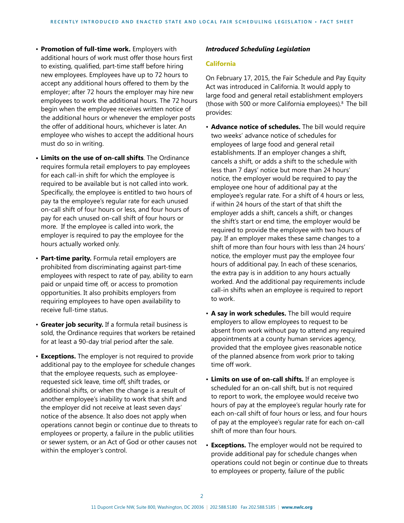- **Promotion of full-time work.** Employers with additional hours of work must offer those hours first to existing, qualified, part-time staff before hiring new employees. Employees have up to 72 hours to accept any additional hours offered to them by the employer; after 72 hours the employer may hire new employees to work the additional hours. The 72 hours begin when the employee receives written notice of the additional hours or whenever the employer posts the offer of additional hours, whichever is later. An employee who wishes to accept the additional hours must do so in writing.
- **• Limits on the use of on-call shifts**. The Ordinance requires formula retail employers to pay employees for each call-in shift for which the employee is required to be available but is not called into work. Specifically, the employee is entitled to two hours of pay ta the employee's regular rate for each unused on-call shift of four hours or less, and four hours of pay for each unused on-call shift of four hours or more. If the employee is called into work, the employer is required to pay the employee for the hours actually worked only.
- **Part-time parity.** Formula retail employers are prohibited from discriminating against part-time employees with respect to rate of pay, ability to earn paid or unpaid time off, or access to promotion opportunities. It also prohibits employers from requiring employees to have open availability to receive full-time status.
- **Greater job security.** If a formula retail business is sold, the Ordinance requires that workers be retained for at least a 90-day trial period after the sale.
- **Exceptions.** The employer is not required to provide additional pay to the employee for schedule changes that the employee requests, such as employeerequested sick leave, time off, shift trades, or additional shifts, or when the change is a result of another employee's inability to work that shift and the employer did not receive at least seven days' notice of the absence. It also does not apply when operations cannot begin or continue due to threats to employees or property, a failure in the public utilities or sewer system, or an Act of God or other causes not within the employer's control.

## *Introduced Scheduling Legislation*

#### **California**

On February 17, 2015, the Fair Schedule and Pay Equity Act was introduced in California. It would apply to large food and general retail establishment employers (those with 500 or more California employees).<sup>8</sup> The bill provides:

- **Advance notice of schedules.** The bill would require two weeks' advance notice of schedules for employees of large food and general retail establishments. If an employer changes a shift, cancels a shift, or adds a shift to the schedule with less than 7 days' notice but more than 24 hours' notice, the employer would be required to pay the employee one hour of additional pay at the employee's regular rate. For a shift of 4 hours or less, if within 24 hours of the start of that shift the employer adds a shift, cancels a shift, or changes the shift's start or end time, the employer would be required to provide the employee with two hours of pay. If an employer makes these same changes to a shift of more than four hours with less than 24 hours' notice, the employer must pay the employee four hours of additional pay. In each of these scenarios, the extra pay is in addition to any hours actually worked. And the additional pay requirements include call-in shifts when an employee is required to report to work.
- **A say in work schedules.** The bill would require employers to allow employees to request to be absent from work without pay to attend any required appointments at a county human services agency, provided that the employee gives reasonable notice of the planned absence from work prior to taking time off work.
- **Limits on use of on-call shifts.** If an employee is scheduled for an on-call shift, but is not required to report to work, the employee would receive two hours of pay at the employee's regular hourly rate for each on-call shift of four hours or less, and four hours of pay at the employee's regular rate for each on-call shift of more than four hours.
- **Exceptions.** The employer would not be required to provide additional pay for schedule changes when operations could not begin or continue due to threats to employees or property, failure of the public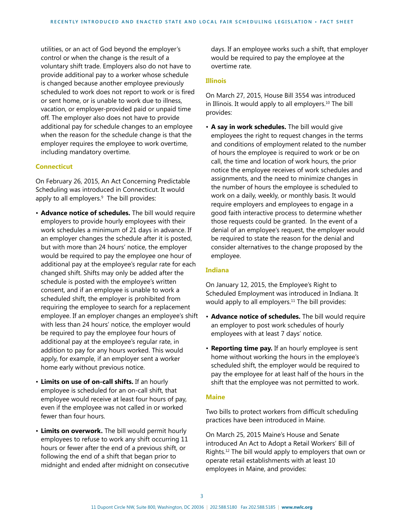utilities, or an act of God beyond the employer's control or when the change is the result of a voluntary shift trade. Employers also do not have to provide additional pay to a worker whose schedule is changed because another employee previously scheduled to work does not report to work or is fired or sent home, or is unable to work due to illness, vacation, or employer-provided paid or unpaid time off. The employer also does not have to provide additional pay for schedule changes to an employee when the reason for the schedule change is that the employer requires the employee to work overtime, including mandatory overtime.

#### **Connecticut**

On February 26, 2015, An Act Concerning Predictable Scheduling was introduced in Connecticut. It would apply to all employers.<sup>9</sup> The bill provides:

- **Advance notice of schedules.** The bill would require employers to provide hourly employees with their work schedules a minimum of 21 days in advance. If an employer changes the schedule after it is posted, but with more than 24 hours' notice, the employer would be required to pay the employee one hour of additional pay at the employee's regular rate for each changed shift. Shifts may only be added after the schedule is posted with the employee's written consent, and if an employee is unable to work a scheduled shift, the employer is prohibited from requiring the employee to search for a replacement employee. If an employer changes an employee's shift with less than 24 hours' notice, the employer would be required to pay the employee four hours of additional pay at the employee's regular rate, in addition to pay for any hours worked. This would apply, for example, if an employer sent a worker home early without previous notice.
- • **Limits on use of on-call shifts.** If an hourly employee is scheduled for an on-call shift, that employee would receive at least four hours of pay, even if the employee was not called in or worked fewer than four hours.
- **Limits on overwork.** The bill would permit hourly employees to refuse to work any shift occurring 11 hours or fewer after the end of a previous shift, or following the end of a shift that began prior to midnight and ended after midnight on consecutive

days. If an employee works such a shift, that employer would be required to pay the employee at the overtime rate.

#### **Illinois**

On March 27, 2015, House Bill 3554 was introduced in Illinois. It would apply to all employers.<sup>10</sup> The bill provides:

• **A say in work schedules.** The bill would give employees the right to request changes in the terms and conditions of employment related to the number of hours the employee is required to work or be on call, the time and location of work hours, the prior notice the employee receives of work schedules and assignments, and the need to minimize changes in the number of hours the employee is scheduled to work on a daily, weekly, or monthly basis. It would require employers and employees to engage in a good faith interactive process to determine whether those requests could be granted. In the event of a denial of an employee's request, the employer would be required to state the reason for the denial and consider alternatives to the change proposed by the employee.

#### **Indiana**

On January 12, 2015, the Employee's Right to Scheduled Employment was introduced in Indiana. It would apply to all employers. $11$  The bill provides:

- **Advance notice of schedules.** The bill would require an employer to post work schedules of hourly employees with at least 7 days' notice.
- • **Reporting time pay.** If an hourly employee is sent home without working the hours in the employee's scheduled shift, the employer would be required to pay the employee for at least half of the hours in the shift that the employee was not permitted to work.

#### **Maine**

Two bills to protect workers from difficult scheduling practices have been introduced in Maine.

On March 25, 2015 Maine's House and Senate introduced An Act to Adopt a Retail Workers' Bill of Rights.12 The bill would apply to employers that own or operate retail establishments with at least 10 employees in Maine, and provides: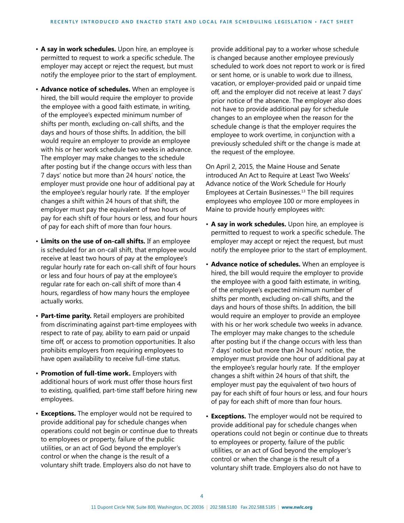- **A say in work schedules.** Upon hire, an employee is permitted to request to work a specific schedule. The employer may accept or reject the request, but must notify the employee prior to the start of employment.
- **Advance notice of schedules.** When an employee is hired, the bill would require the employer to provide the employee with a good faith estimate, in writing, of the employee's expected minimum number of shifts per month, excluding on-call shifts, and the days and hours of those shifts. In addition, the bill would require an employer to provide an employee with his or her work schedule two weeks in advance. The employer may make changes to the schedule after posting but if the change occurs with less than 7 days' notice but more than 24 hours' notice, the employer must provide one hour of additional pay at the employee's regular hourly rate. If the employer changes a shift within 24 hours of that shift, the employer must pay the equivalent of two hours of pay for each shift of four hours or less, and four hours of pay for each shift of more than four hours.
- **Limits on the use of on-call shifts.** If an employee is scheduled for an on-call shift, that employee would receive at least two hours of pay at the employee's regular hourly rate for each on-call shift of four hours or less and four hours of pay at the employee's regular rate for each on-call shift of more than 4 hours, regardless of how many hours the employee actually works.
- **Part-time parity.** Retail employers are prohibited from discriminating against part-time employees with respect to rate of pay, ability to earn paid or unpaid time off, or access to promotion opportunities. It also prohibits employers from requiring employees to have open availability to receive full-time status.
- **Promotion of full-time work.** Employers with additional hours of work must offer those hours first to existing, qualified, part-time staff before hiring new employees.
- **Exceptions.** The employer would not be required to provide additional pay for schedule changes when operations could not begin or continue due to threats to employees or property, failure of the public utilities, or an act of God beyond the employer's control or when the change is the result of a voluntary shift trade. Employers also do not have to

provide additional pay to a worker whose schedule is changed because another employee previously scheduled to work does not report to work or is fired or sent home, or is unable to work due to illness, vacation, or employer-provided paid or unpaid time off, and the employer did not receive at least 7 days' prior notice of the absence. The employer also does not have to provide additional pay for schedule changes to an employee when the reason for the schedule change is that the employer requires the employee to work overtime, in conjunction with a previously scheduled shift or the change is made at the request of the employee.

On April 2, 2015, the Maine House and Senate introduced An Act to Require at Least Two Weeks' Advance notice of the Work Schedule for Hourly Employees at Certain Businesses.13 The bill requires employees who employee 100 or more employees in Maine to provide hourly employees with:

- **A say in work schedules.** Upon hire, an employee is permitted to request to work a specific schedule. The employer may accept or reject the request, but must notify the employee prior to the start of employment.
- **Advance notice of schedules.** When an employee is hired, the bill would require the employer to provide the employee with a good faith estimate, in writing, of the employee's expected minimum number of shifts per month, excluding on-call shifts, and the days and hours of those shifts. In addition, the bill would require an employer to provide an employee with his or her work schedule two weeks in advance. The employer may make changes to the schedule after posting but if the change occurs with less than 7 days' notice but more than 24 hours' notice, the employer must provide one hour of additional pay at the employee's regular hourly rate. If the employer changes a shift within 24 hours of that shift, the employer must pay the equivalent of two hours of pay for each shift of four hours or less, and four hours of pay for each shift of more than four hours.
- **Exceptions.** The employer would not be required to provide additional pay for schedule changes when operations could not begin or continue due to threats to employees or property, failure of the public utilities, or an act of God beyond the employer's control or when the change is the result of a voluntary shift trade. Employers also do not have to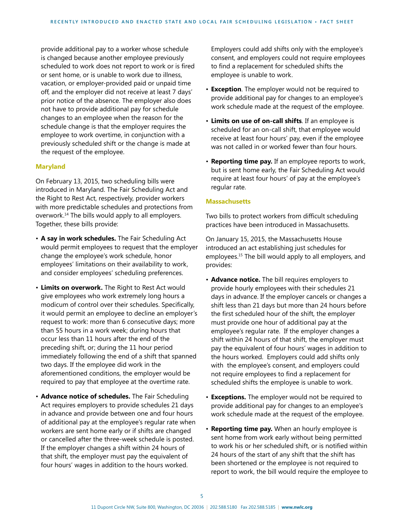provide additional pay to a worker whose schedule is changed because another employee previously scheduled to work does not report to work or is fired or sent home, or is unable to work due to illness, vacation, or employer-provided paid or unpaid time off, and the employer did not receive at least 7 days' prior notice of the absence. The employer also does not have to provide additional pay for schedule changes to an employee when the reason for the schedule change is that the employer requires the employee to work overtime, in conjunction with a previously scheduled shift or the change is made at the request of the employee.

#### **Maryland**

On February 13, 2015, two scheduling bills were introduced in Maryland. The Fair Scheduling Act and the Right to Rest Act, respectively, provider workers with more predictable schedules and protections from overwork.14 The bills would apply to all employers. Together, these bills provide:

- **A say in work schedules.** The Fair Scheduling Act would permit employees to request that the employer change the employee's work schedule, honor employees' limitations on their availability to work, and consider employees' scheduling preferences.
- **Limits on overwork.** The Right to Rest Act would give employees who work extremely long hours a modicum of control over their schedules. Specifically, it would permit an employee to decline an employer's request to work: more than 6 consecutive days; more than 55 hours in a work week; during hours that occur less than 11 hours after the end of the preceding shift, or; during the 11 hour period immediately following the end of a shift that spanned two days. If the employee did work in the aforementioned conditions, the employer would be required to pay that employee at the overtime rate.
- **Advance notice of schedules.** The Fair Scheduling Act requires employers to provide schedules 21 days in advance and provide between one and four hours of additional pay at the employee's regular rate when workers are sent home early or if shifts are changed or cancelled after the three-week schedule is posted. If the employer changes a shift within 24 hours of that shift, the employer must pay the equivalent of four hours' wages in addition to the hours worked.

Employers could add shifts only with the employee's consent, and employers could not require employees to find a replacement for scheduled shifts the employee is unable to work.

- **Exception**. The employer would not be required to provide additional pay for changes to an employee's work schedule made at the request of the employee.
- **Limits on use of on-call shifts**. If an employee is scheduled for an on-call shift, that employee would receive at least four hours' pay, even if the employee was not called in or worked fewer than four hours.
- **Reporting time pay.** If an employee reports to work, but is sent home early, the Fair Scheduling Act would require at least four hours' of pay at the employee's regular rate.

#### **Massachusetts**

Two bills to protect workers from difficult scheduling practices have been introduced in Massachusetts.

On January 15, 2015, the Massachusetts House introduced an act establishing just schedules for employees.<sup>15</sup> The bill would apply to all employers, and provides:

- **Advance notice.** The bill requires employers to provide hourly employees with their schedules 21 days in advance. If the employer cancels or changes a shift less than 21 days but more than 24 hours before the first scheduled hour of the shift, the employer must provide one hour of additional pay at the employee's regular rate. If the employer changes a shift within 24 hours of that shift, the employer must pay the equivalent of four hours' wages in addition to the hours worked. Employers could add shifts only with the employee's consent, and employers could not require employees to find a replacement for scheduled shifts the employee is unable to work.
- **Exceptions.** The employer would not be required to provide additional pay for changes to an employee's work schedule made at the request of the employee.
- • **Reporting time pay.** When an hourly employee is sent home from work early without being permitted to work his or her scheduled shift, or is notified within 24 hours of the start of any shift that the shift has been shortened or the employee is not required to report to work, the bill would require the employee to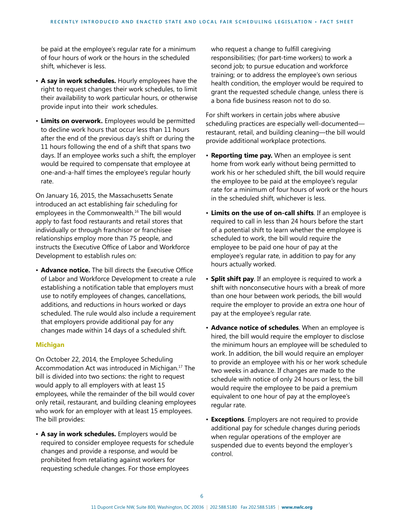be paid at the employee's regular rate for a minimum of four hours of work or the hours in the scheduled shift, whichever is less.

- **A say in work schedules.** Hourly employees have the right to request changes their work schedules, to limit their availability to work particular hours, or otherwise provide input into their work schedules.
- **Limits on overwork.** Employees would be permitted to decline work hours that occur less than 11 hours after the end of the previous day's shift or during the 11 hours following the end of a shift that spans two days. If an employee works such a shift, the employer would be required to compensate that employee at one-and-a-half times the employee's regular hourly rate.

On January 16, 2015, the Massachusetts Senate introduced an act establishing fair scheduling for employees in the Commonwealth.16 The bill would apply to fast food restaurants and retail stores that individually or through franchisor or franchisee relationships employ more than 75 people, and instructs the Executive Office of Labor and Workforce Development to establish rules on:

• **Advance notice.** The bill directs the Executive Office of Labor and Workforce Development to create a rule establishing a notification table that employers must use to notify employees of changes, cancellations, additions, and reductions in hours worked or days scheduled. The rule would also include a requirement that employers provide additional pay for any changes made within 14 days of a scheduled shift.

#### **Michigan**

On October 22, 2014, the Employee Scheduling Accommodation Act was introduced in Michigan.17 The bill is divided into two sections: the right to request would apply to all employers with at least 15 employees, while the remainder of the bill would cover only retail, restaurant, and building cleaning employees who work for an employer with at least 15 employees. The bill provides:

• **A say in work schedules.** Employers would be required to consider employee requests for schedule changes and provide a response, and would be prohibited from retaliating against workers for requesting schedule changes. For those employees

who request a change to fulfill caregiving responsibilities; (for part-time workers) to work a second job; to pursue education and workforce training; or to address the employee's own serious health condition, the employer would be required to grant the requested schedule change, unless there is a bona fide business reason not to do so.

For shift workers in certain jobs where abusive scheduling practices are especially well-documented restaurant, retail, and building cleaning—the bill would provide additional workplace protections.

- **Reporting time pay.** When an employee is sent home from work early without being permitted to work his or her scheduled shift, the bill would require the employee to be paid at the employee's regular rate for a minimum of four hours of work or the hours in the scheduled shift, whichever is less.
- **Limits on the use of on-call shifts**. If an employee is required to call in less than 24 hours before the start of a potential shift to learn whether the employee is scheduled to work, the bill would require the employee to be paid one hour of pay at the employee's regular rate, in addition to pay for any hours actually worked.
- **Split shift pay**. If an employee is required to work a shift with nonconsecutive hours with a break of more than one hour between work periods, the bill would require the employer to provide an extra one hour of pay at the employee's regular rate.
- **Advance notice of schedules**. When an employee is hired, the bill would require the employer to disclose the minimum hours an employee will be scheduled to work. In addition, the bill would require an employer to provide an employee with his or her work schedule two weeks in advance. If changes are made to the schedule with notice of only 24 hours or less, the bill would require the employee to be paid a premium equivalent to one hour of pay at the employee's regular rate.
- **Exceptions**. Employers are not required to provide additional pay for schedule changes during periods when regular operations of the employer are suspended due to events beyond the employer's control.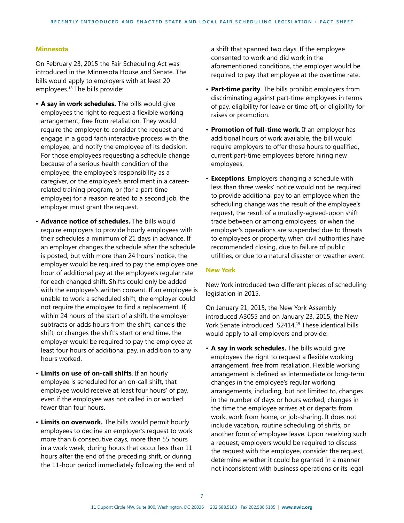#### **Minnesota**

On February 23, 2015 the Fair Scheduling Act was introduced in the Minnesota House and Senate. The bills would apply to employers with at least 20 employees.18 The bills provide:

- **A say in work schedules.** The bills would give employees the right to request a flexible working arrangement, free from retaliation. They would require the employer to consider the request and engage in a good faith interactive process with the employee, and notify the employee of its decision. For those employees requesting a schedule change because of a serious health condition of the employee, the employee's responsibility as a caregiver, or the employee's enrollment in a careerrelated training program, or (for a part-time employee) for a reason related to a second job, the employer must grant the request.
- **Advance notice of schedules.** The bills would require employers to provide hourly employees with their schedules a minimum of 21 days in advance. If an employer changes the schedule after the schedule is posted, but with more than 24 hours' notice, the employer would be required to pay the employee one hour of additional pay at the employee's regular rate for each changed shift. Shifts could only be added with the employee's written consent. If an employee is unable to work a scheduled shift, the employer could not require the employee to find a replacement. If, within 24 hours of the start of a shift, the employer subtracts or adds hours from the shift, cancels the shift, or changes the shift's start or end time, the employer would be required to pay the employee at least four hours of additional pay, in addition to any hours worked.
- **Limits on use of on-call shifts**. If an hourly employee is scheduled for an on-call shift, that employee would receive at least four hours' of pay, even if the employee was not called in or worked fewer than four hours.
- **Limits on overwork.** The bills would permit hourly employees to decline an employer's request to work more than 6 consecutive days, more than 55 hours in a work week, during hours that occur less than 11 hours after the end of the preceding shift, or during the 11-hour period immediately following the end of

a shift that spanned two days. If the employee consented to work and did work in the aforementioned conditions, the employer would be required to pay that employee at the overtime rate.

- **Part-time parity**. The bills prohibit employers from discriminating against part-time employees in terms of pay, eligibility for leave or time off, or eligibility for raises or promotion.
- **Promotion of full-time work**. If an employer has additional hours of work available, the bill would require employers to offer those hours to qualified, current part-time employees before hiring new employees.
- **Exceptions**. Employers changing a schedule with less than three weeks' notice would not be required to provide additional pay to an employee when the scheduling change was the result of the employee's request, the result of a mutually-agreed-upon shift trade between or among employees, or when the employer's operations are suspended due to threats to employees or property, when civil authorities have recommended closing, due to failure of public utilities, or due to a natural disaster or weather event.

#### **New York**

New York introduced two different pieces of scheduling legislation in 2015.

On January 21, 2015, the New York Assembly introduced A3055 and on January 23, 2015, the New York Senate introduced S2414.<sup>19</sup> These identical bills would apply to all employers and provide:

• **A say in work schedules.** The bills would give employees the right to request a flexible working arrangement, free from retaliation. Flexible working arrangement is defined as intermediate or long-term changes in the employee's regular working arrangements, including, but not limited to, changes in the number of days or hours worked, changes in the time the employee arrives at or departs from work, work from home, or job-sharing. It does not include vacation, routine scheduling of shifts, or another form of employee leave. Upon receiving such a request, employers would be required to discuss the request with the employee, consider the request, determine whether it could be granted in a manner not inconsistent with business operations or its legal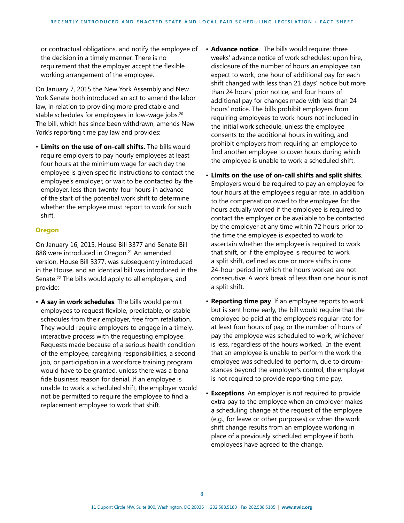or contractual obligations, and notify the employee of the decision in a timely manner. There is no requirement that the employer accept the flexible working arrangement of the employee.

On January 7, 2015 the New York Assembly and New York Senate both introduced an act to amend the labor law, in relation to providing more predictable and stable schedules for employees in low-wage jobs.<sup>20</sup> The bill, which has since been withdrawn, amends New York's reporting time pay law and provides:

• **Limits on the use of on-call shifts.** The bills would require employers to pay hourly employees at least four hours at the minimum wage for each day the employee is given specific instructions to contact the employee's employer, or wait to be contacted by the employer, less than twenty-four hours in advance of the start of the potential work shift to determine whether the employee must report to work for such shift.

#### **Oregon**

On January 16, 2015, House Bill 3377 and Senate Bill 888 were introduced in Oregon.<sup>21</sup> An amended version, House Bill 3377, was subsequently introduced in the House, and an identical bill was introduced in the Senate.<sup>22</sup> The bills would apply to all employers, and provide:

• **A say in work schedules**. The bills would permit employees to request flexible, predictable, or stable schedules from their employer, free from retaliation. They would require employers to engage in a timely, interactive process with the requesting employee. Requests made because of a serious health condition of the employee, caregiving responsibilities, a second job, or participation in a workforce training program would have to be granted, unless there was a bona fide business reason for denial. If an employee is unable to work a scheduled shift, the employer would not be permitted to require the employee to find a replacement employee to work that shift.

- **Advance notice**. The bills would require: three weeks' advance notice of work schedules; upon hire, disclosure of the number of hours an employee can expect to work; one hour of additional pay for each shift changed with less than 21 days' notice but more than 24 hours' prior notice; and four hours of additional pay for changes made with less than 24 hours' notice. The bills prohibit employers from requiring employees to work hours not included in the initial work schedule, unless the employee consents to the additional hours in writing, and prohibit employers from requiring an employee to find another employee to cover hours during which the employee is unable to work a scheduled shift.
- • **Limits on the use of on-call shifts and split shifts**. Employers would be required to pay an employee for four hours at the employee's regular rate, in addition to the compensation owed to the employee for the hours actually worked if the employee is required to contact the employer or be available to be contacted by the employer at any time within 72 hours prior to the time the employee is expected to work to ascertain whether the employee is required to work that shift, or if the employee is required to work a split shift, defined as one or more shifts in one 24-hour period in which the hours worked are not consecutive. A work break of less than one hour is not a split shift.
- **Reporting time pay**. If an employee reports to work but is sent home early, the bill would require that the employee be paid at the employee's regular rate for at least four hours of pay, or the number of hours of pay the employee was scheduled to work, whichever is less, regardless of the hours worked. In the event that an employee is unable to perform the work the employee was scheduled to perform, due to circumstances beyond the employer's control, the employer is not required to provide reporting time pay.
- **Exceptions**. An employer is not required to provide extra pay to the employee when an employer makes a scheduling change at the request of the employee (e.g., for leave or other purposes) or when the work shift change results from an employee working in place of a previously scheduled employee if both employees have agreed to the change.